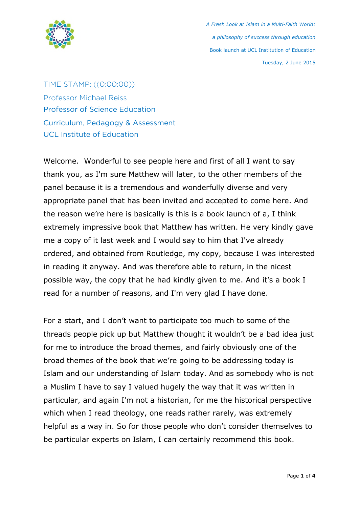

## TIME STAMP: ((0:00:00))

Professor Michael Reiss Professor of Science Education Curriculum, Pedagogy & Assessment UCL Institute of Education

Welcome. Wonderful to see people here and first of all I want to say thank you, as I'm sure Matthew will later, to the other members of the panel because it is a tremendous and wonderfully diverse and very appropriate panel that has been invited and accepted to come here. And the reason we're here is basically is this is a book launch of a, I think extremely impressive book that Matthew has written. He very kindly gave me a copy of it last week and I would say to him that I've already ordered, and obtained from Routledge, my copy, because I was interested in reading it anyway. And was therefore able to return, in the nicest possible way, the copy that he had kindly given to me. And it's a book I read for a number of reasons, and I'm very glad I have done.

For a start, and I don't want to participate too much to some of the threads people pick up but Matthew thought it wouldn't be a bad idea just for me to introduce the broad themes, and fairly obviously one of the broad themes of the book that we're going to be addressing today is Islam and our understanding of Islam today. And as somebody who is not a Muslim I have to say I valued hugely the way that it was written in particular, and again I'm not a historian, for me the historical perspective which when I read theology, one reads rather rarely, was extremely helpful as a way in. So for those people who don't consider themselves to be particular experts on Islam, I can certainly recommend this book.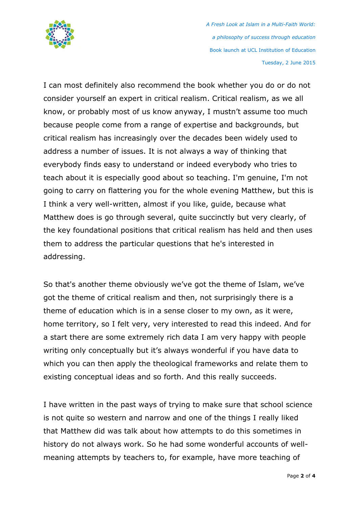

I can most definitely also recommend the book whether you do or do not consider yourself an expert in critical realism. Critical realism, as we all know, or probably most of us know anyway, I mustn't assume too much because people come from a range of expertise and backgrounds, but critical realism has increasingly over the decades been widely used to address a number of issues. It is not always a way of thinking that everybody finds easy to understand or indeed everybody who tries to teach about it is especially good about so teaching. I'm genuine, I'm not going to carry on flattering you for the whole evening Matthew, but this is I think a very well-written, almost if you like, guide, because what Matthew does is go through several, quite succinctly but very clearly, of the key foundational positions that critical realism has held and then uses them to address the particular questions that he's interested in addressing.

So that's another theme obviously we've got the theme of Islam, we've got the theme of critical realism and then, not surprisingly there is a theme of education which is in a sense closer to my own, as it were, home territory, so I felt very, very interested to read this indeed. And for a start there are some extremely rich data I am very happy with people writing only conceptually but it's always wonderful if you have data to which you can then apply the theological frameworks and relate them to existing conceptual ideas and so forth. And this really succeeds.

I have written in the past ways of trying to make sure that school science is not quite so western and narrow and one of the things I really liked that Matthew did was talk about how attempts to do this sometimes in history do not always work. So he had some wonderful accounts of wellmeaning attempts by teachers to, for example, have more teaching of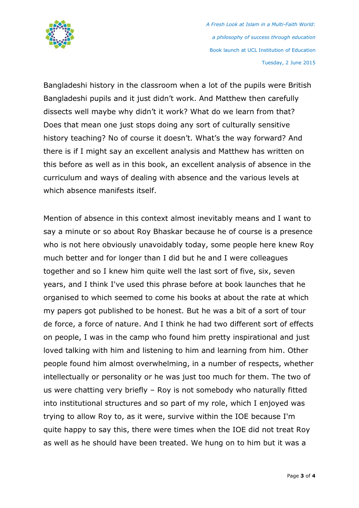

Bangladeshi history in the classroom when a lot of the pupils were British Bangladeshi pupils and it just didn't work. And Matthew then carefully dissects well maybe why didn't it work? What do we learn from that? Does that mean one just stops doing any sort of culturally sensitive history teaching? No of course it doesn't. What's the way forward? And there is if I might say an excellent analysis and Matthew has written on this before as well as in this book, an excellent analysis of absence in the curriculum and ways of dealing with absence and the various levels at which absence manifests itself.

Mention of absence in this context almost inevitably means and I want to say a minute or so about Roy Bhaskar because he of course is a presence who is not here obviously unavoidably today, some people here knew Roy much better and for longer than I did but he and I were colleagues together and so I knew him quite well the last sort of five, six, seven years, and I think I've used this phrase before at book launches that he organised to which seemed to come his books at about the rate at which my papers got published to be honest. But he was a bit of a sort of tour de force, a force of nature. And I think he had two different sort of effects on people, I was in the camp who found him pretty inspirational and just loved talking with him and listening to him and learning from him. Other people found him almost overwhelming, in a number of respects, whether intellectually or personality or he was just too much for them. The two of us were chatting very briefly – Roy is not somebody who naturally fitted into institutional structures and so part of my role, which I enjoyed was trying to allow Roy to, as it were, survive within the IOE because I'm quite happy to say this, there were times when the IOE did not treat Roy as well as he should have been treated. We hung on to him but it was a